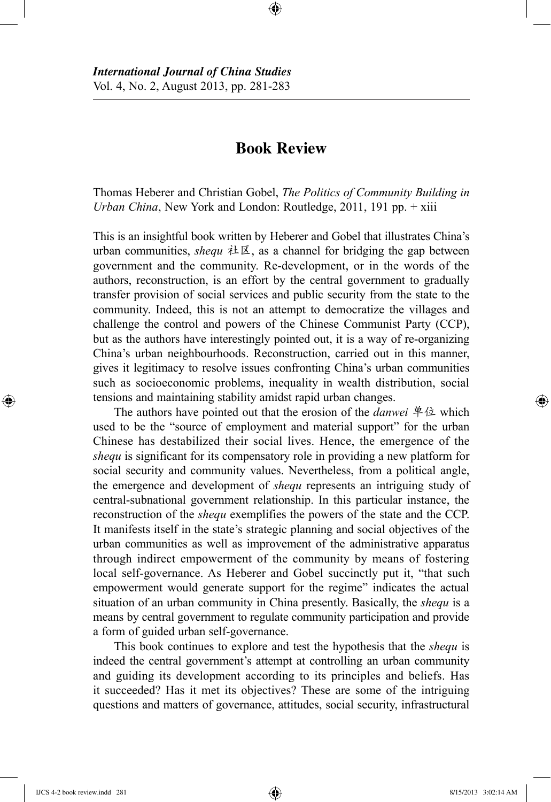## **Book Review**

⊕

Thomas Heberer and Christian Gobel, *The Politics of Community Building in Urban China*, New York and London: Routledge, 2011, 191 pp. + xiii

This is an insightful book written by Heberer and Gobel that illustrates China's urban communities, *shequ* 社区, as a channel for bridging the gap between government and the community. Re-development, or in the words of the authors, reconstruction, is an effort by the central government to gradually transfer provision of social services and public security from the state to the community. Indeed, this is not an attempt to democratize the villages and challenge the control and powers of the Chinese Communist Party (CCP), but as the authors have interestingly pointed out, it is a way of re-organizing China's urban neighbourhoods. Reconstruction, carried out in this manner, gives it legitimacy to resolve issues confronting China's urban communities such as socioeconomic problems, inequality in wealth distribution, social tensions and maintaining stability amidst rapid urban changes.

The authors have pointed out that the erosion of the *danwei* 单位 which used to be the "source of employment and material support" for the urban Chinese has destabilized their social lives. Hence, the emergence of the *shequ* is significant for its compensatory role in providing a new platform for social security and community values. Nevertheless, from a political angle, the emergence and development of *shequ* represents an intriguing study of central-subnational government relationship. In this particular instance, the reconstruction of the *shequ* exemplifies the powers of the state and the CCP. It manifests itself in the state's strategic planning and social objectives of the urban communities as well as improvement of the administrative apparatus through indirect empowerment of the community by means of fostering local self-governance. As Heberer and Gobel succinctly put it, "that such empowerment would generate support for the regime" indicates the actual situation of an urban community in China presently. Basically, the *shequ* is a means by central government to regulate community participation and provide a form of guided urban self-governance.

This book continues to explore and test the hypothesis that the *shequ* is indeed the central government's attempt at controlling an urban community and guiding its development according to its principles and beliefs. Has it succeeded? Has it met its objectives? These are some of the intriguing questions and matters of governance, attitudes, social security, infrastructural

⊕

♠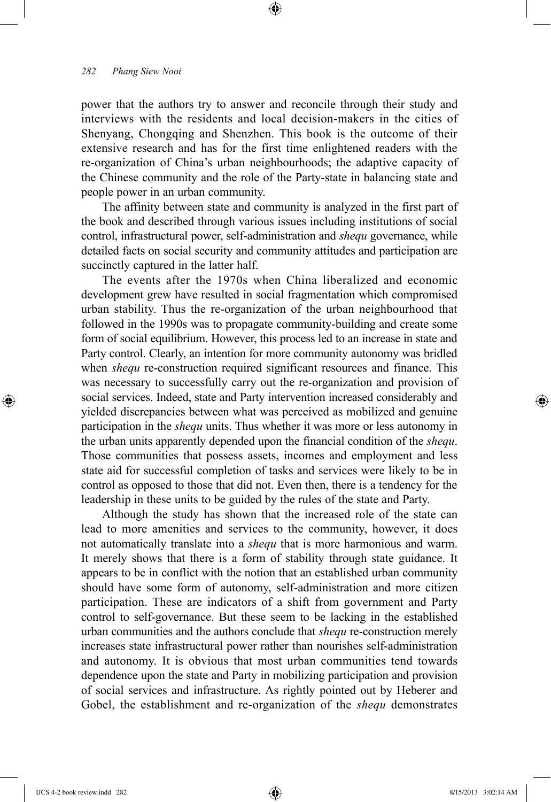## *282 Phang Siew Nooi*

power that the authors try to answer and reconcile through their study and interviews with the residents and local decision-makers in the cities of Shenyang, Chongqing and Shenzhen. This book is the outcome of their extensive research and has for the first time enlightened readers with the re-organization of China's urban neighbourhoods; the adaptive capacity of the Chinese community and the role of the Party-state in balancing state and people power in an urban community.

⊕

The affinity between state and community is analyzed in the first part of the book and described through various issues including institutions of social control, infrastructural power, self-administration and *shequ* governance, while detailed facts on social security and community attitudes and participation are succinctly captured in the latter half.

The events after the 1970s when China liberalized and economic development grew have resulted in social fragmentation which compromised urban stability. Thus the re-organization of the urban neighbourhood that followed in the 1990s was to propagate community-building and create some form of social equilibrium. However, this process led to an increase in state and Party control. Clearly, an intention for more community autonomy was bridled when *shequ* re-construction required significant resources and finance. This was necessary to successfully carry out the re-organization and provision of social services. Indeed, state and Party intervention increased considerably and yielded discrepancies between what was perceived as mobilized and genuine participation in the *shequ* units. Thus whether it was more or less autonomy in the urban units apparently depended upon the financial condition of the *shequ*. Those communities that possess assets, incomes and employment and less state aid for successful completion of tasks and services were likely to be in control as opposed to those that did not. Even then, there is a tendency for the leadership in these units to be guided by the rules of the state and Party.

Although the study has shown that the increased role of the state can lead to more amenities and services to the community, however, it does not automatically translate into a *shequ* that is more harmonious and warm. It merely shows that there is a form of stability through state guidance. It appears to be in conflict with the notion that an established urban community should have some form of autonomy, self-administration and more citizen participation. These are indicators of a shift from government and Party control to self-governance. But these seem to be lacking in the established urban communities and the authors conclude that *shequ* re-construction merely increases state infrastructural power rather than nourishes self-administration and autonomy. It is obvious that most urban communities tend towards dependence upon the state and Party in mobilizing participation and provision of social services and infrastructure. As rightly pointed out by Heberer and Gobel, the establishment and re-organization of the *shequ* demonstrates

⊕

⊕